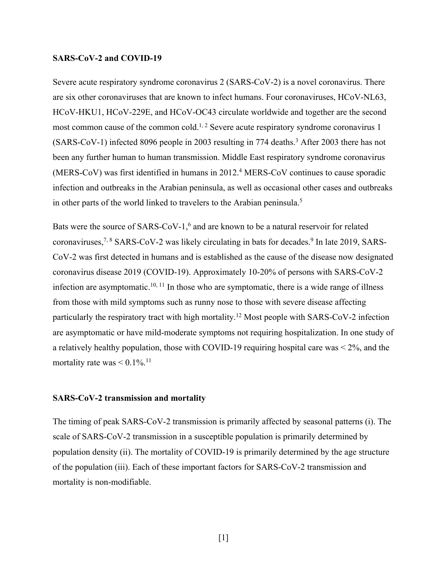# **SARS-CoV-2 and COVID-19**

Severe acute respiratory syndrome coronavirus 2 (SARS-CoV-2) is a novel coronavirus. There are six other coronaviruses that are known to infect humans. Four coronaviruses, HCoV-NL63, HCoV-HKU1, HCoV-229E, and HCoV-OC43 circulate worldwide and together are the second most common cause of the common cold.<sup>1, 2</sup> Severe acute respiratory syndrome coronavirus 1 (SARS-CoV-1) infected 8096 people in 2003 resulting in 774 deaths.<sup>3</sup> After 2003 there has not been any further human to human transmission. Middle East respiratory syndrome coronavirus (MERS-CoV) was first identified in humans in 2012.<sup>4</sup> MERS-CoV continues to cause sporadic infection and outbreaks in the Arabian peninsula, as well as occasional other cases and outbreaks in other parts of the world linked to travelers to the Arabian peninsula.<sup>5</sup>

Bats were the source of  $SARS-CoV-1$ ,<sup>6</sup> and are known to be a natural reservoir for related coronaviruses,<sup>7, 8</sup> SARS-CoV-2 was likely circulating in bats for decades.<sup>9</sup> In late 2019, SARS-CoV-2 was first detected in humans and is established as the cause of the disease now designated coronavirus disease 2019 (COVID-19). Approximately 10-20% of persons with SARS-CoV-2 infection are asymptomatic.10, 11 In those who are symptomatic, there is a wide range of illness from those with mild symptoms such as runny nose to those with severe disease affecting particularly the respiratory tract with high mortality.12 Most people with SARS-CoV-2 infection are asymptomatic or have mild-moderate symptoms not requiring hospitalization. In one study of a relatively healthy population, those with COVID-19 requiring hospital care was < 2%, and the mortality rate was  $\leq 0.1\%$ .<sup>11</sup>

## **SARS-CoV-2 transmission and mortality**

The timing of peak SARS-CoV-2 transmission is primarily affected by seasonal patterns (i). The scale of SARS-CoV-2 transmission in a susceptible population is primarily determined by population density (ii). The mortality of COVID-19 is primarily determined by the age structure of the population (iii). Each of these important factors for SARS-CoV-2 transmission and mortality is non-modifiable.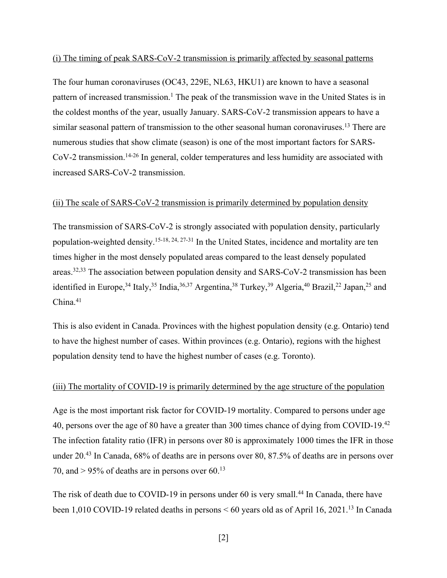### (i) The timing of peak SARS-CoV-2 transmission is primarily affected by seasonal patterns

The four human coronaviruses (OC43, 229E, NL63, HKU1) are known to have a seasonal pattern of increased transmission.<sup>1</sup> The peak of the transmission wave in the United States is in the coldest months of the year, usually January. SARS-CoV-2 transmission appears to have a similar seasonal pattern of transmission to the other seasonal human coronaviruses.<sup>13</sup> There are numerous studies that show climate (season) is one of the most important factors for SARS-CoV-2 transmission.<sup>14-26</sup> In general, colder temperatures and less humidity are associated with increased SARS-CoV-2 transmission.

# (ii) The scale of SARS-CoV-2 transmission is primarily determined by population density

The transmission of SARS-CoV-2 is strongly associated with population density, particularly population-weighted density.15-18, 24, 27-31 In the United States, incidence and mortality are ten times higher in the most densely populated areas compared to the least densely populated areas.32,33 The association between population density and SARS-CoV-2 transmission has been identified in Europe,<sup>34</sup> Italy,<sup>35</sup> India,<sup>36,37</sup> Argentina,<sup>38</sup> Turkey,<sup>39</sup> Algeria,<sup>40</sup> Brazil,<sup>22</sup> Japan,<sup>25</sup> and  $China.<sup>41</sup>$ 

This is also evident in Canada. Provinces with the highest population density (e.g. Ontario) tend to have the highest number of cases. Within provinces (e.g. Ontario), regions with the highest population density tend to have the highest number of cases (e.g. Toronto).

# (iii) The mortality of COVID-19 is primarily determined by the age structure of the population

Age is the most important risk factor for COVID-19 mortality. Compared to persons under age 40, persons over the age of 80 have a greater than 300 times chance of dying from COVID-19.<sup>42</sup> The infection fatality ratio (IFR) in persons over 80 is approximately 1000 times the IFR in those under 20.43 In Canada, 68% of deaths are in persons over 80, 87.5% of deaths are in persons over 70, and  $> 95\%$  of deaths are in persons over 60.<sup>13</sup>

The risk of death due to COVID-19 in persons under 60 is very small.<sup>44</sup> In Canada, there have been 1,010 COVID-19 related deaths in persons < 60 years old as of April 16, 2021.13 In Canada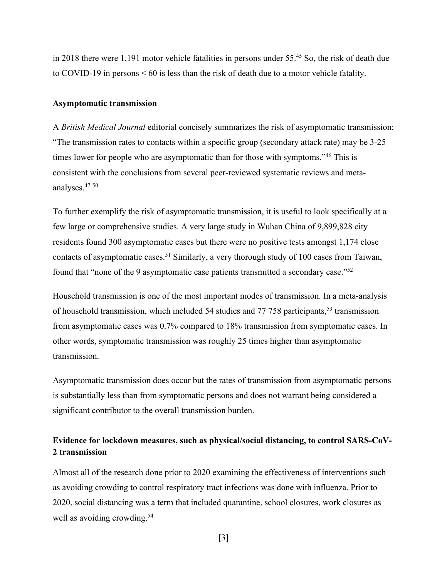in 2018 there were 1,191 motor vehicle fatalities in persons under 55.45 So, the risk of death due to COVID-19 in persons < 60 is less than the risk of death due to a motor vehicle fatality.

#### **Asymptomatic transmission**

A *British Medical Journal* editorial concisely summarizes the risk of asymptomatic transmission: "The transmission rates to contacts within a specific group (secondary attack rate) may be 3-25 times lower for people who are asymptomatic than for those with symptoms."46 This is consistent with the conclusions from several peer-reviewed systematic reviews and metaanalyses.47-50

To further exemplify the risk of asymptomatic transmission, it is useful to look specifically at a few large or comprehensive studies. A very large study in Wuhan China of 9,899,828 city residents found 300 asymptomatic cases but there were no positive tests amongst 1,174 close contacts of asymptomatic cases.<sup>51</sup> Similarly, a very thorough study of 100 cases from Taiwan, found that "none of the 9 asymptomatic case patients transmitted a secondary case."52

Household transmission is one of the most important modes of transmission. In a meta-analysis of household transmission, which included 54 studies and 77 758 participants,<sup>53</sup> transmission from asymptomatic cases was 0.7% compared to 18% transmission from symptomatic cases. In other words, symptomatic transmission was roughly 25 times higher than asymptomatic transmission.

Asymptomatic transmission does occur but the rates of transmission from asymptomatic persons is substantially less than from symptomatic persons and does not warrant being considered a significant contributor to the overall transmission burden.

# **Evidence for lockdown measures, such as physical/social distancing, to control SARS-CoV-2 transmission**

Almost all of the research done prior to 2020 examining the effectiveness of interventions such as avoiding crowding to control respiratory tract infections was done with influenza. Prior to 2020, social distancing was a term that included quarantine, school closures, work closures as well as avoiding crowding.<sup>54</sup>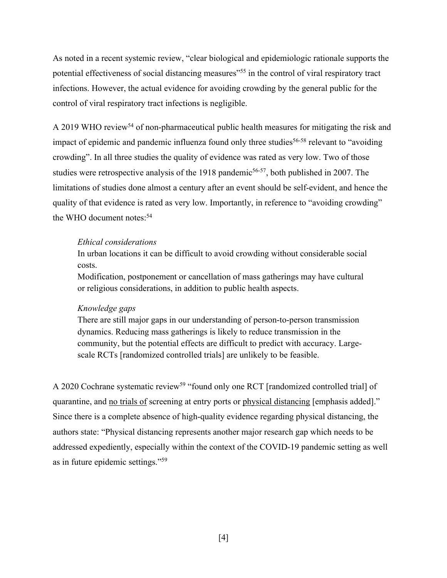As noted in a recent systemic review, "clear biological and epidemiologic rationale supports the potential effectiveness of social distancing measures"<sup>55</sup> in the control of viral respiratory tract infections. However, the actual evidence for avoiding crowding by the general public for the control of viral respiratory tract infections is negligible.

A 2019 WHO review<sup>54</sup> of non-pharmaceutical public health measures for mitigating the risk and impact of epidemic and pandemic influenza found only three studies<sup>56-58</sup> relevant to "avoiding" crowding". In all three studies the quality of evidence was rated as very low. Two of those studies were retrospective analysis of the 1918 pandemic<sup>56-57</sup>, both published in 2007. The limitations of studies done almost a century after an event should be self-evident, and hence the quality of that evidence is rated as very low. Importantly, in reference to "avoiding crowding" the WHO document notes:<sup>54</sup>

### *Ethical considerations*

In urban locations it can be difficult to avoid crowding without considerable social costs.

Modification, postponement or cancellation of mass gatherings may have cultural or religious considerations, in addition to public health aspects.

# *Knowledge gaps*

There are still major gaps in our understanding of person-to-person transmission dynamics. Reducing mass gatherings is likely to reduce transmission in the community, but the potential effects are difficult to predict with accuracy. Largescale RCTs [randomized controlled trials] are unlikely to be feasible.

A 2020 Cochrane systematic review<sup>59</sup> "found only one RCT [randomized controlled trial] of quarantine, and no trials of screening at entry ports or physical distancing [emphasis added]." Since there is a complete absence of high-quality evidence regarding physical distancing, the authors state: "Physical distancing represents another major research gap which needs to be addressed expediently, especially within the context of the COVID-19 pandemic setting as well as in future epidemic settings."59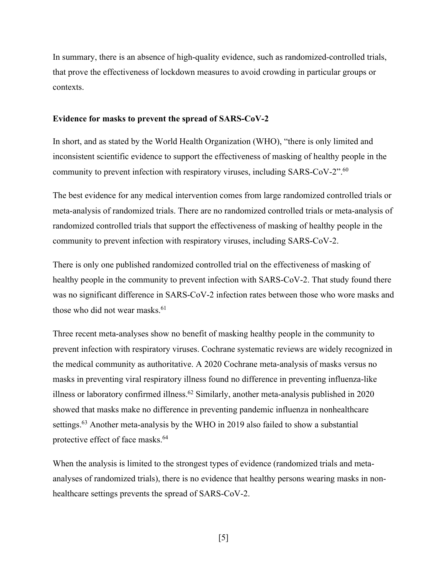In summary, there is an absence of high-quality evidence, such as randomized-controlled trials, that prove the effectiveness of lockdown measures to avoid crowding in particular groups or contexts.

# **Evidence for masks to prevent the spread of SARS-CoV-2**

In short, and as stated by the World Health Organization (WHO), "there is only limited and inconsistent scientific evidence to support the effectiveness of masking of healthy people in the community to prevent infection with respiratory viruses, including SARS-CoV-2".<sup>60</sup>

The best evidence for any medical intervention comes from large randomized controlled trials or meta-analysis of randomized trials. There are no randomized controlled trials or meta-analysis of randomized controlled trials that support the effectiveness of masking of healthy people in the community to prevent infection with respiratory viruses, including SARS-CoV-2.

There is only one published randomized controlled trial on the effectiveness of masking of healthy people in the community to prevent infection with SARS-CoV-2. That study found there was no significant difference in SARS-CoV-2 infection rates between those who wore masks and those who did not wear masks. $61$ 

Three recent meta-analyses show no benefit of masking healthy people in the community to prevent infection with respiratory viruses. Cochrane systematic reviews are widely recognized in the medical community as authoritative. A 2020 Cochrane meta-analysis of masks versus no masks in preventing viral respiratory illness found no difference in preventing influenza-like illness or laboratory confirmed illness.<sup>62</sup> Similarly, another meta-analysis published in 2020 showed that masks make no difference in preventing pandemic influenza in nonhealthcare settings.<sup>63</sup> Another meta-analysis by the WHO in 2019 also failed to show a substantial protective effect of face masks.<sup>64</sup>

When the analysis is limited to the strongest types of evidence (randomized trials and metaanalyses of randomized trials), there is no evidence that healthy persons wearing masks in nonhealthcare settings prevents the spread of SARS-CoV-2.

[5]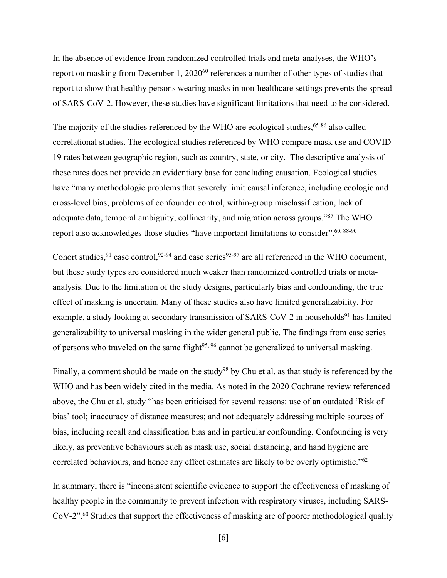In the absence of evidence from randomized controlled trials and meta-analyses, the WHO's report on masking from December 1, 2020<sup>60</sup> references a number of other types of studies that report to show that healthy persons wearing masks in non-healthcare settings prevents the spread of SARS-CoV-2. However, these studies have significant limitations that need to be considered.

The majority of the studies referenced by the WHO are ecological studies,  $65-86$  also called correlational studies. The ecological studies referenced by WHO compare mask use and COVID-19 rates between geographic region, such as country, state, or city. The descriptive analysis of these rates does not provide an evidentiary base for concluding causation. Ecological studies have "many methodologic problems that severely limit causal inference, including ecologic and cross-level bias, problems of confounder control, within-group misclassification, lack of adequate data, temporal ambiguity, collinearity, and migration across groups."87 The WHO report also acknowledges those studies "have important limitations to consider".  $60, 88-90$ 

Cohort studies,  $91$  case control,  $92-94$  and case series  $95-97$  are all referenced in the WHO document, but these study types are considered much weaker than randomized controlled trials or metaanalysis. Due to the limitation of the study designs, particularly bias and confounding, the true effect of masking is uncertain. Many of these studies also have limited generalizability. For example, a study looking at secondary transmission of SARS-CoV-2 in households<sup>91</sup> has limited generalizability to universal masking in the wider general public. The findings from case series of persons who traveled on the same flight<sup>95, 96</sup> cannot be generalized to universal masking.

Finally, a comment should be made on the study<sup>98</sup> by Chu et al. as that study is referenced by the WHO and has been widely cited in the media. As noted in the 2020 Cochrane review referenced above, the Chu et al. study "has been criticised for several reasons: use of an outdated 'Risk of bias' tool; inaccuracy of distance measures; and not adequately addressing multiple sources of bias, including recall and classification bias and in particular confounding. Confounding is very likely, as preventive behaviours such as mask use, social distancing, and hand hygiene are correlated behaviours, and hence any effect estimates are likely to be overly optimistic."62

In summary, there is "inconsistent scientific evidence to support the effectiveness of masking of healthy people in the community to prevent infection with respiratory viruses, including SARS-CoV-2".<sup>60</sup> Studies that support the effectiveness of masking are of poorer methodological quality

[6]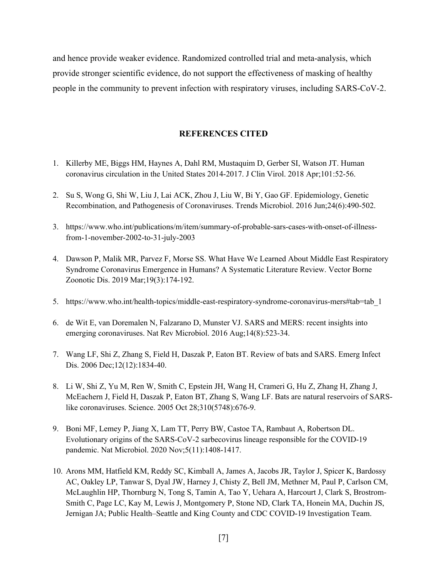and hence provide weaker evidence. Randomized controlled trial and meta-analysis, which provide stronger scientific evidence, do not support the effectiveness of masking of healthy people in the community to prevent infection with respiratory viruses, including SARS-CoV-2.

## **REFERENCES CITED**

- 1. Killerby ME, Biggs HM, Haynes A, Dahl RM, Mustaquim D, Gerber SI, Watson JT. Human coronavirus circulation in the United States 2014-2017. J Clin Virol. 2018 Apr;101:52-56.
- 2. Su S, Wong G, Shi W, Liu J, Lai ACK, Zhou J, Liu W, Bi Y, Gao GF. Epidemiology, Genetic Recombination, and Pathogenesis of Coronaviruses. Trends Microbiol. 2016 Jun;24(6):490-502.
- 3. https://www.who.int/publications/m/item/summary-of-probable-sars-cases-with-onset-of-illnessfrom-1-november-2002-to-31-july-2003
- 4. Dawson P, Malik MR, Parvez F, Morse SS. What Have We Learned About Middle East Respiratory Syndrome Coronavirus Emergence in Humans? A Systematic Literature Review. Vector Borne Zoonotic Dis. 2019 Mar;19(3):174-192.
- 5. https://www.who.int/health-topics/middle-east-respiratory-syndrome-coronavirus-mers#tab=tab\_1
- 6. de Wit E, van Doremalen N, Falzarano D, Munster VJ. SARS and MERS: recent insights into emerging coronaviruses. Nat Rev Microbiol. 2016 Aug;14(8):523-34.
- 7. Wang LF, Shi Z, Zhang S, Field H, Daszak P, Eaton BT. Review of bats and SARS. Emerg Infect Dis. 2006 Dec;12(12):1834-40.
- 8. Li W, Shi Z, Yu M, Ren W, Smith C, Epstein JH, Wang H, Crameri G, Hu Z, Zhang H, Zhang J, McEachern J, Field H, Daszak P, Eaton BT, Zhang S, Wang LF. Bats are natural reservoirs of SARSlike coronaviruses. Science. 2005 Oct 28;310(5748):676-9.
- 9. Boni MF, Lemey P, Jiang X, Lam TT, Perry BW, Castoe TA, Rambaut A, Robertson DL. Evolutionary origins of the SARS-CoV-2 sarbecovirus lineage responsible for the COVID-19 pandemic. Nat Microbiol. 2020 Nov;5(11):1408-1417.
- 10. Arons MM, Hatfield KM, Reddy SC, Kimball A, James A, Jacobs JR, Taylor J, Spicer K, Bardossy AC, Oakley LP, Tanwar S, Dyal JW, Harney J, Chisty Z, Bell JM, Methner M, Paul P, Carlson CM, McLaughlin HP, Thornburg N, Tong S, Tamin A, Tao Y, Uehara A, Harcourt J, Clark S, Brostrom-Smith C, Page LC, Kay M, Lewis J, Montgomery P, Stone ND, Clark TA, Honein MA, Duchin JS, Jernigan JA; Public Health–Seattle and King County and CDC COVID-19 Investigation Team.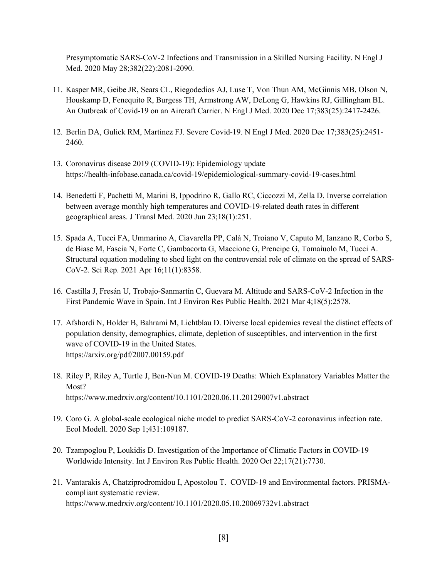Presymptomatic SARS-CoV-2 Infections and Transmission in a Skilled Nursing Facility. N Engl J Med. 2020 May 28;382(22):2081-2090.

- 11. Kasper MR, Geibe JR, Sears CL, Riegodedios AJ, Luse T, Von Thun AM, McGinnis MB, Olson N, Houskamp D, Fenequito R, Burgess TH, Armstrong AW, DeLong G, Hawkins RJ, Gillingham BL. An Outbreak of Covid-19 on an Aircraft Carrier. N Engl J Med. 2020 Dec 17;383(25):2417-2426.
- 12. Berlin DA, Gulick RM, Martinez FJ. Severe Covid-19. N Engl J Med. 2020 Dec 17;383(25):2451- 2460.
- 13. Coronavirus disease 2019 (COVID-19): Epidemiology update https://health-infobase.canada.ca/covid-19/epidemiological-summary-covid-19-cases.html
- 14. Benedetti F, Pachetti M, Marini B, Ippodrino R, Gallo RC, Ciccozzi M, Zella D. Inverse correlation between average monthly high temperatures and COVID-19-related death rates in different geographical areas. J Transl Med. 2020 Jun 23;18(1):251.
- 15. Spada A, Tucci FA, Ummarino A, Ciavarella PP, Calà N, Troiano V, Caputo M, Ianzano R, Corbo S, de Biase M, Fascia N, Forte C, Gambacorta G, Maccione G, Prencipe G, Tomaiuolo M, Tucci A. Structural equation modeling to shed light on the controversial role of climate on the spread of SARS-CoV-2. Sci Rep. 2021 Apr 16;11(1):8358.
- 16. Castilla J, Fresán U, Trobajo-Sanmartín C, Guevara M. Altitude and SARS-CoV-2 Infection in the First Pandemic Wave in Spain. Int J Environ Res Public Health. 2021 Mar 4;18(5):2578.
- 17. Afshordi N, Holder B, Bahrami M, Lichtblau D. Diverse local epidemics reveal the distinct effects of population density, demographics, climate, depletion of susceptibles, and intervention in the first wave of COVID-19 in the United States. https://arxiv.org/pdf/2007.00159.pdf
- 18. Riley P, Riley A, Turtle J, Ben-Nun M. COVID-19 Deaths: Which Explanatory Variables Matter the Most? https://www.medrxiv.org/content/10.1101/2020.06.11.20129007v1.abstract
- 19. Coro G. A global-scale ecological niche model to predict SARS-CoV-2 coronavirus infection rate. Ecol Modell. 2020 Sep 1;431:109187.
- 20. Tzampoglou P, Loukidis D. Investigation of the Importance of Climatic Factors in COVID-19 Worldwide Intensity. Int J Environ Res Public Health. 2020 Oct 22;17(21):7730.
- 21. Vantarakis A, Chatziprodromidou I, Apostolou T. COVID-19 and Environmental factors. PRISMAcompliant systematic review. https://www.medrxiv.org/content/10.1101/2020.05.10.20069732v1.abstract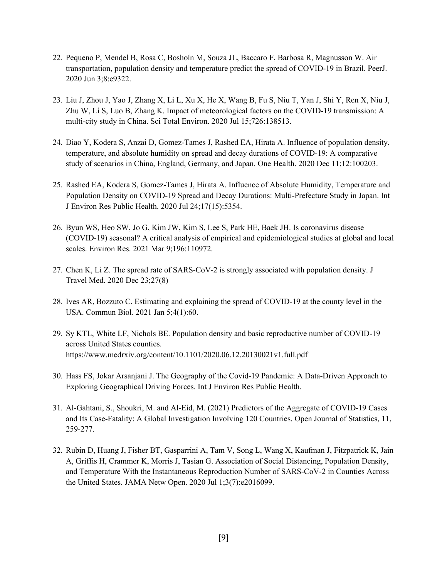- 22. Pequeno P, Mendel B, Rosa C, Bosholn M, Souza JL, Baccaro F, Barbosa R, Magnusson W. Air transportation, population density and temperature predict the spread of COVID-19 in Brazil. PeerJ. 2020 Jun 3;8:e9322.
- 23. Liu J, Zhou J, Yao J, Zhang X, Li L, Xu X, He X, Wang B, Fu S, Niu T, Yan J, Shi Y, Ren X, Niu J, Zhu W, Li S, Luo B, Zhang K. Impact of meteorological factors on the COVID-19 transmission: A multi-city study in China. Sci Total Environ. 2020 Jul 15;726:138513.
- 24. Diao Y, Kodera S, Anzai D, Gomez-Tames J, Rashed EA, Hirata A. Influence of population density, temperature, and absolute humidity on spread and decay durations of COVID-19: A comparative study of scenarios in China, England, Germany, and Japan. One Health. 2020 Dec 11;12:100203.
- 25. Rashed EA, Kodera S, Gomez-Tames J, Hirata A. Influence of Absolute Humidity, Temperature and Population Density on COVID-19 Spread and Decay Durations: Multi-Prefecture Study in Japan. Int J Environ Res Public Health. 2020 Jul 24;17(15):5354.
- 26. Byun WS, Heo SW, Jo G, Kim JW, Kim S, Lee S, Park HE, Baek JH. Is coronavirus disease (COVID-19) seasonal? A critical analysis of empirical and epidemiological studies at global and local scales. Environ Res. 2021 Mar 9;196:110972.
- 27. Chen K, Li Z. The spread rate of SARS-CoV-2 is strongly associated with population density. J Travel Med. 2020 Dec 23;27(8)
- 28. Ives AR, Bozzuto C. Estimating and explaining the spread of COVID-19 at the county level in the USA. Commun Biol. 2021 Jan 5;4(1):60.
- 29. Sy KTL, White LF, Nichols BE. Population density and basic reproductive number of COVID-19 across United States counties. https://www.medrxiv.org/content/10.1101/2020.06.12.20130021v1.full.pdf
- 30. Hass FS, Jokar Arsanjani J. The Geography of the Covid-19 Pandemic: A Data-Driven Approach to Exploring Geographical Driving Forces. Int J Environ Res Public Health.
- 31. Al-Gahtani, S., Shoukri, M. and Al-Eid, M. (2021) Predictors of the Aggregate of COVID-19 Cases and Its Case-Fatality: A Global Investigation Involving 120 Countries. Open Journal of Statistics, 11, 259-277.
- 32. Rubin D, Huang J, Fisher BT, Gasparrini A, Tam V, Song L, Wang X, Kaufman J, Fitzpatrick K, Jain A, Griffis H, Crammer K, Morris J, Tasian G. Association of Social Distancing, Population Density, and Temperature With the Instantaneous Reproduction Number of SARS-CoV-2 in Counties Across the United States. JAMA Netw Open. 2020 Jul 1;3(7):e2016099.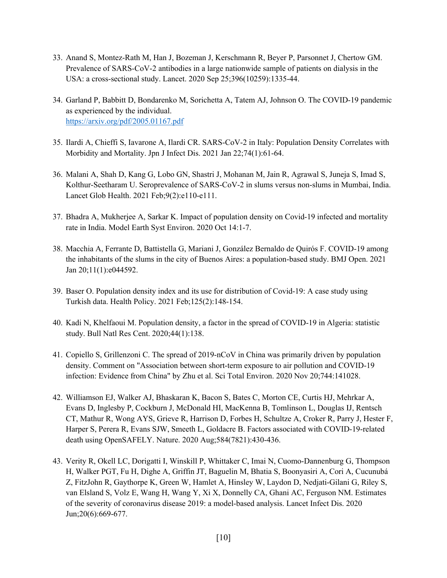- 33. Anand S, Montez-Rath M, Han J, Bozeman J, Kerschmann R, Beyer P, Parsonnet J, Chertow GM. Prevalence of SARS-CoV-2 antibodies in a large nationwide sample of patients on dialysis in the USA: a cross-sectional study. Lancet. 2020 Sep 25;396(10259):1335-44.
- 34. Garland P, Babbitt D, Bondarenko M, Sorichetta A, Tatem AJ, Johnson O. The COVID-19 pandemic as experienced by the individual. https://arxiv.org/pdf/2005.01167.pdf
- 35. Ilardi A, Chieffi S, Iavarone A, Ilardi CR. SARS-CoV-2 in Italy: Population Density Correlates with Morbidity and Mortality. Jpn J Infect Dis. 2021 Jan 22;74(1):61-64.
- 36. Malani A, Shah D, Kang G, Lobo GN, Shastri J, Mohanan M, Jain R, Agrawal S, Juneja S, Imad S, Kolthur-Seetharam U. Seroprevalence of SARS-CoV-2 in slums versus non-slums in Mumbai, India. Lancet Glob Health. 2021 Feb;9(2):e110-e111.
- 37. Bhadra A, Mukherjee A, Sarkar K. Impact of population density on Covid-19 infected and mortality rate in India. Model Earth Syst Environ. 2020 Oct 14:1-7.
- 38. Macchia A, Ferrante D, Battistella G, Mariani J, González Bernaldo de Quirós F. COVID-19 among the inhabitants of the slums in the city of Buenos Aires: a population-based study. BMJ Open. 2021 Jan 20;11(1):e044592.
- 39. Baser O. Population density index and its use for distribution of Covid-19: A case study using Turkish data. Health Policy. 2021 Feb;125(2):148-154.
- 40. Kadi N, Khelfaoui M. Population density, a factor in the spread of COVID-19 in Algeria: statistic study. Bull Natl Res Cent. 2020;44(1):138.
- 41. Copiello S, Grillenzoni C. The spread of 2019-nCoV in China was primarily driven by population density. Comment on "Association between short-term exposure to air pollution and COVID-19 infection: Evidence from China" by Zhu et al. Sci Total Environ. 2020 Nov 20;744:141028.
- 42. Williamson EJ, Walker AJ, Bhaskaran K, Bacon S, Bates C, Morton CE, Curtis HJ, Mehrkar A, Evans D, Inglesby P, Cockburn J, McDonald HI, MacKenna B, Tomlinson L, Douglas IJ, Rentsch CT, Mathur R, Wong AYS, Grieve R, Harrison D, Forbes H, Schultze A, Croker R, Parry J, Hester F, Harper S, Perera R, Evans SJW, Smeeth L, Goldacre B. Factors associated with COVID-19-related death using OpenSAFELY. Nature. 2020 Aug;584(7821):430-436.
- 43. Verity R, Okell LC, Dorigatti I, Winskill P, Whittaker C, Imai N, Cuomo-Dannenburg G, Thompson H, Walker PGT, Fu H, Dighe A, Griffin JT, Baguelin M, Bhatia S, Boonyasiri A, Cori A, Cucunubá Z, FitzJohn R, Gaythorpe K, Green W, Hamlet A, Hinsley W, Laydon D, Nedjati-Gilani G, Riley S, van Elsland S, Volz E, Wang H, Wang Y, Xi X, Donnelly CA, Ghani AC, Ferguson NM. Estimates of the severity of coronavirus disease 2019: a model-based analysis. Lancet Infect Dis. 2020 Jun;20(6):669-677.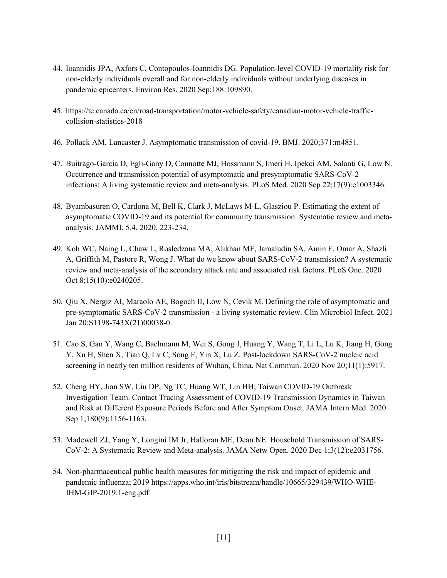- 44. Ioannidis JPA, Axfors C, Contopoulos-Ioannidis DG. Population-level COVID-19 mortality risk for non-elderly individuals overall and for non-elderly individuals without underlying diseases in pandemic epicenters. Environ Res. 2020 Sep;188:109890.
- 45. https://tc.canada.ca/en/road-transportation/motor-vehicle-safety/canadian-motor-vehicle-trafficcollision-statistics-2018
- 46. Pollack AM, Lancaster J. Asymptomatic transmission of covid-19. BMJ. 2020;371:m4851.
- 47. Buitrago-Garcia D, Egli-Gany D, Counotte MJ, Hossmann S, Imeri H, Ipekci AM, Salanti G, Low N. Occurrence and transmission potential of asymptomatic and presymptomatic SARS-CoV-2 infections: A living systematic review and meta-analysis. PLoS Med. 2020 Sep 22;17(9):e1003346.
- 48. Byambasuren O, Cardona M, Bell K, Clark J, McLaws M-L, Glasziou P. Estimating the extent of asymptomatic COVID-19 and its potential for community transmission: Systematic review and metaanalysis. JAMMI. 5.4, 2020. 223-234.
- 49. Koh WC, Naing L, Chaw L, Rosledzana MA, Alikhan MF, Jamaludin SA, Amin F, Omar A, Shazli A, Griffith M, Pastore R, Wong J. What do we know about SARS-CoV-2 transmission? A systematic review and meta-analysis of the secondary attack rate and associated risk factors. PLoS One. 2020 Oct 8;15(10):e0240205.
- 50. Qiu X, Nergiz AI, Maraolo AE, Bogoch II, Low N, Cevik M. Defining the role of asymptomatic and pre-symptomatic SARS-CoV-2 transmission - a living systematic review. Clin Microbiol Infect. 2021 Jan 20:S1198-743X(21)00038-0.
- 51. Cao S, Gan Y, Wang C, Bachmann M, Wei S, Gong J, Huang Y, Wang T, Li L, Lu K, Jiang H, Gong Y, Xu H, Shen X, Tian Q, Lv C, Song F, Yin X, Lu Z. Post-lockdown SARS-CoV-2 nucleic acid screening in nearly ten million residents of Wuhan, China. Nat Commun. 2020 Nov 20;11(1):5917.
- 52. Cheng HY, Jian SW, Liu DP, Ng TC, Huang WT, Lin HH; Taiwan COVID-19 Outbreak Investigation Team. Contact Tracing Assessment of COVID-19 Transmission Dynamics in Taiwan and Risk at Different Exposure Periods Before and After Symptom Onset. JAMA Intern Med. 2020 Sep 1;180(9):1156-1163.
- 53. Madewell ZJ, Yang Y, Longini IM Jr, Halloran ME, Dean NE. Household Transmission of SARS-CoV-2: A Systematic Review and Meta-analysis. JAMA Netw Open. 2020 Dec 1;3(12):e2031756.
- 54. Non-pharmaceutical public health measures for mitigating the risk and impact of epidemic and pandemic influenza; 2019 https://apps.who.int/iris/bitstream/handle/10665/329439/WHO-WHE-IHM-GIP-2019.1-eng.pdf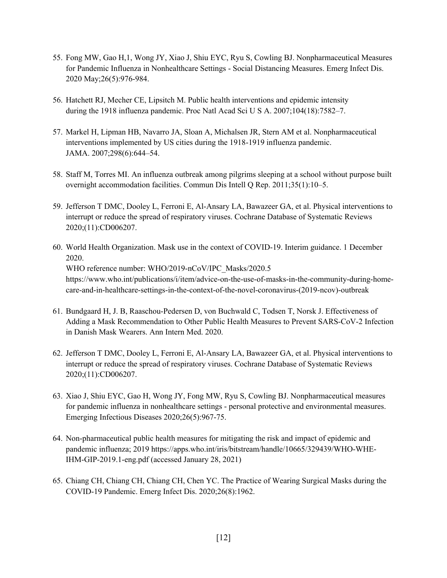- 55. Fong MW, Gao H,1, Wong JY, Xiao J, Shiu EYC, Ryu S, Cowling BJ. Nonpharmaceutical Measures for Pandemic Influenza in Nonhealthcare Settings - Social Distancing Measures. Emerg Infect Dis. 2020 May;26(5):976-984.
- 56. Hatchett RJ, Mecher CE, Lipsitch M. Public health interventions and epidemic intensity during the 1918 influenza pandemic. Proc Natl Acad Sci U S A. 2007;104(18):7582–7.
- 57. Markel H, Lipman HB, Navarro JA, Sloan A, Michalsen JR, Stern AM et al. Nonpharmaceutical interventions implemented by US cities during the 1918-1919 influenza pandemic. JAMA. 2007;298(6):644–54.
- 58. Staff M, Torres MI. An influenza outbreak among pilgrims sleeping at a school without purpose built overnight accommodation facilities. Commun Dis Intell Q Rep. 2011;35(1):10–5.
- 59. Jefferson T DMC, Dooley L, Ferroni E, Al-Ansary LA, Bawazeer GA, et al. Physical interventions to interrupt or reduce the spread of respiratory viruses. Cochrane Database of Systematic Reviews 2020;(11):CD006207.
- 60. World Health Organization. Mask use in the context of COVID-19. Interim guidance. 1 December 2020. WHO reference number: WHO/2019-nCoV/IPC\_Masks/2020.5 https://www.who.int/publications/i/item/advice-on-the-use-of-masks-in-the-community-during-homecare-and-in-healthcare-settings-in-the-context-of-the-novel-coronavirus-(2019-ncov)-outbreak
- 61. Bundgaard H, J. B, Raaschou-Pedersen D, von Buchwald C, Todsen T, Norsk J. Effectiveness of Adding a Mask Recommendation to Other Public Health Measures to Prevent SARS-CoV-2 Infection in Danish Mask Wearers. Ann Intern Med. 2020.
- 62. Jefferson T DMC, Dooley L, Ferroni E, Al-Ansary LA, Bawazeer GA, et al. Physical interventions to interrupt or reduce the spread of respiratory viruses. Cochrane Database of Systematic Reviews 2020;(11):CD006207.
- 63. Xiao J, Shiu EYC, Gao H, Wong JY, Fong MW, Ryu S, Cowling BJ. Nonpharmaceutical measures for pandemic influenza in nonhealthcare settings - personal protective and environmental measures. Emerging Infectious Diseases 2020;26(5):967-75.
- 64. Non-pharmaceutical public health measures for mitigating the risk and impact of epidemic and pandemic influenza; 2019 https://apps.who.int/iris/bitstream/handle/10665/329439/WHO-WHE-IHM-GIP-2019.1-eng.pdf (accessed January 28, 2021)
- 65. Chiang CH, Chiang CH, Chiang CH, Chen YC. The Practice of Wearing Surgical Masks during the COVID-19 Pandemic. Emerg Infect Dis. 2020;26(8):1962.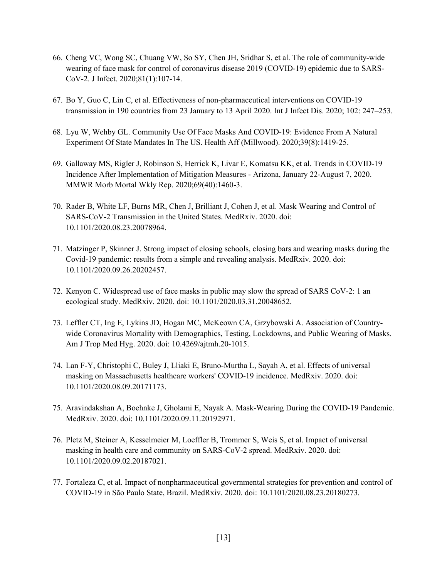- 66. Cheng VC, Wong SC, Chuang VW, So SY, Chen JH, Sridhar S, et al. The role of community-wide wearing of face mask for control of coronavirus disease 2019 (COVID-19) epidemic due to SARS-CoV-2. J Infect. 2020;81(1):107-14.
- 67. Bo Y, Guo C, Lin C, et al. Effectiveness of non-pharmaceutical interventions on COVID-19 transmission in 190 countries from 23 January to 13 April 2020. Int J Infect Dis. 2020; 102: 247–253.
- 68. Lyu W, Wehby GL. Community Use Of Face Masks And COVID-19: Evidence From A Natural Experiment Of State Mandates In The US. Health Aff (Millwood). 2020;39(8):1419-25.
- 69. Gallaway MS, Rigler J, Robinson S, Herrick K, Livar E, Komatsu KK, et al. Trends in COVID-19 Incidence After Implementation of Mitigation Measures - Arizona, January 22-August 7, 2020. MMWR Morb Mortal Wkly Rep. 2020;69(40):1460-3.
- 70. Rader B, White LF, Burns MR, Chen J, Brilliant J, Cohen J, et al. Mask Wearing and Control of SARS-CoV-2 Transmission in the United States. MedRxiv. 2020. doi: 10.1101/2020.08.23.20078964.
- 71. Matzinger P, Skinner J. Strong impact of closing schools, closing bars and wearing masks during the Covid-19 pandemic: results from a simple and revealing analysis. MedRxiv. 2020. doi: 10.1101/2020.09.26.20202457.
- 72. Kenyon C. Widespread use of face masks in public may slow the spread of SARS CoV-2: 1 an ecological study. MedRxiv. 2020. doi: 10.1101/2020.03.31.20048652.
- 73. Leffler CT, Ing E, Lykins JD, Hogan MC, McKeown CA, Grzybowski A. Association of Countrywide Coronavirus Mortality with Demographics, Testing, Lockdowns, and Public Wearing of Masks. Am J Trop Med Hyg. 2020. doi: 10.4269/ajtmh.20-1015.
- 74. Lan F-Y, Christophi C, Buley J, Lliaki E, Bruno-Murtha L, Sayah A, et al. Effects of universal masking on Massachusetts healthcare workers' COVID-19 incidence. MedRxiv. 2020. doi: 10.1101/2020.08.09.20171173.
- 75. Aravindakshan A, Boehnke J, Gholami E, Nayak A. Mask-Wearing During the COVID-19 Pandemic. MedRxiv. 2020. doi: 10.1101/2020.09.11.20192971.
- 76. Pletz M, Steiner A, Kesselmeier M, Loeffler B, Trommer S, Weis S, et al. Impact of universal masking in health care and community on SARS-CoV-2 spread. MedRxiv. 2020. doi: 10.1101/2020.09.02.20187021.
- 77. Fortaleza C, et al. Impact of nonpharmaceutical governmental strategies for prevention and control of COVID-19 in São Paulo State, Brazil. MedRxiv. 2020. doi: 10.1101/2020.08.23.20180273.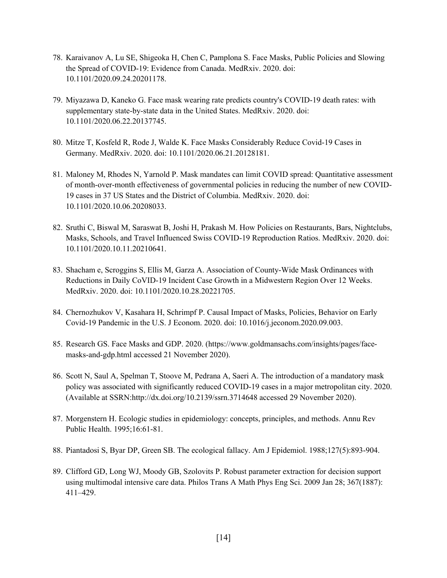- 78. Karaivanov A, Lu SE, Shigeoka H, Chen C, Pamplona S. Face Masks, Public Policies and Slowing the Spread of COVID-19: Evidence from Canada. MedRxiv. 2020. doi: 10.1101/2020.09.24.20201178.
- 79. Miyazawa D, Kaneko G. Face mask wearing rate predicts country's COVID-19 death rates: with supplementary state-by-state data in the United States. MedRxiv. 2020. doi: 10.1101/2020.06.22.20137745.
- 80. Mitze T, Kosfeld R, Rode J, Walde K. Face Masks Considerably Reduce Covid-19 Cases in Germany. MedRxiv. 2020. doi: 10.1101/2020.06.21.20128181.
- 81. Maloney M, Rhodes N, Yarnold P. Mask mandates can limit COVID spread: Quantitative assessment of month-over-month effectiveness of governmental policies in reducing the number of new COVID-19 cases in 37 US States and the District of Columbia. MedRxiv. 2020. doi: 10.1101/2020.10.06.20208033.
- 82. Sruthi C, Biswal M, Saraswat B, Joshi H, Prakash M. How Policies on Restaurants, Bars, Nightclubs, Masks, Schools, and Travel Influenced Swiss COVID-19 Reproduction Ratios. MedRxiv. 2020. doi: 10.1101/2020.10.11.20210641.
- 83. Shacham e, Scroggins S, Ellis M, Garza A. Association of County-Wide Mask Ordinances with Reductions in Daily CoVID-19 Incident Case Growth in a Midwestern Region Over 12 Weeks. MedRxiv. 2020. doi: 10.1101/2020.10.28.20221705.
- 84. Chernozhukov V, Kasahara H, Schrimpf P. Causal Impact of Masks, Policies, Behavior on Early Covid-19 Pandemic in the U.S. J Econom. 2020. doi: 10.1016/j.jeconom.2020.09.003.
- 85. Research GS. Face Masks and GDP. 2020. (https://www.goldmansachs.com/insights/pages/facemasks-and-gdp.html accessed 21 November 2020).
- 86. Scott N, Saul A, Spelman T, Stoove M, Pedrana A, Saeri A. The introduction of a mandatory mask policy was associated with significantly reduced COVID-19 cases in a major metropolitan city. 2020. (Available at SSRN:http://dx.doi.org/10.2139/ssrn.3714648 accessed 29 November 2020).
- 87. Morgenstern H. Ecologic studies in epidemiology: concepts, principles, and methods. Annu Rev Public Health. 1995;16:61-81.
- 88. Piantadosi S, Byar DP, Green SB. The ecological fallacy. Am J Epidemiol. 1988;127(5):893-904.
- 89. Clifford GD, Long WJ, Moody GB, Szolovits P. Robust parameter extraction for decision support using multimodal intensive care data. Philos Trans A Math Phys Eng Sci. 2009 Jan 28; 367(1887): 411–429.